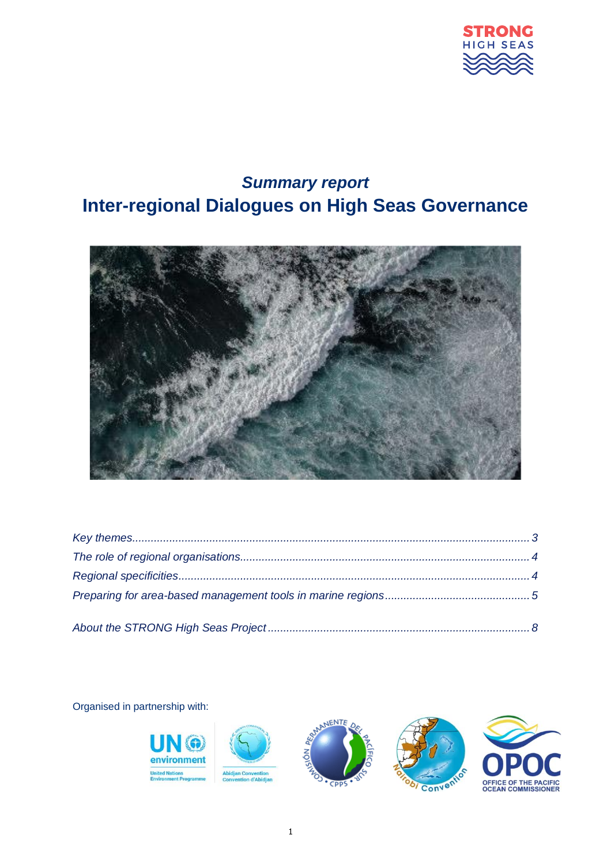

# *Summary report* **Inter-regional Dialogues on High Seas Governance**



Organised in partnership with:

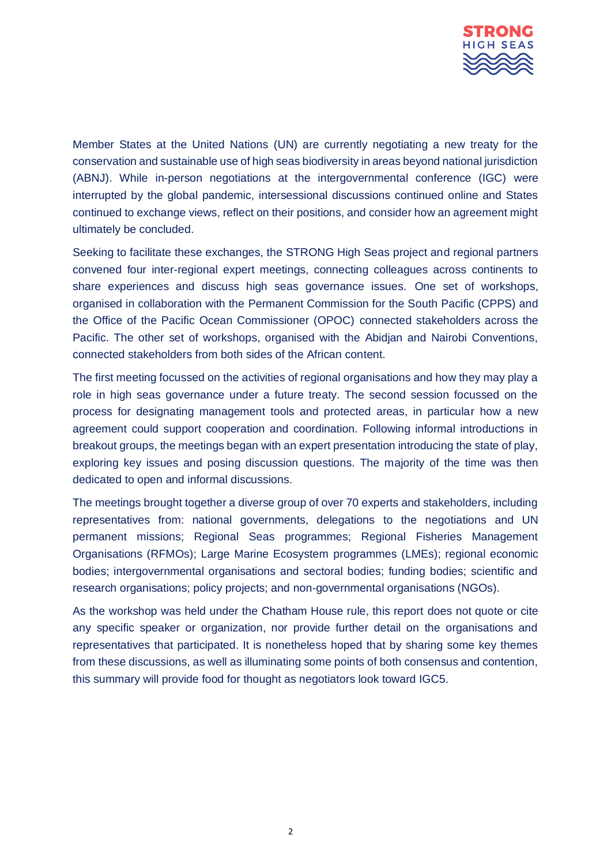

Member States at the United Nations (UN) are currently negotiating a new treaty for the conservation and sustainable use of high seas biodiversity in areas beyond national jurisdiction (ABNJ). While in-person negotiations at the intergovernmental conference (IGC) were interrupted by the global pandemic, intersessional discussions continued online and States continued to exchange views, reflect on their positions, and consider how an agreement might ultimately be concluded.

Seeking to facilitate these exchanges, the STRONG High Seas project and regional partners convened four inter-regional expert meetings, connecting colleagues across continents to share experiences and discuss high seas governance issues. One set of workshops, organised in collaboration with the Permanent Commission for the South Pacific (CPPS) and the Office of the Pacific Ocean Commissioner (OPOC) connected stakeholders across the Pacific. The other set of workshops, organised with the Abidjan and Nairobi Conventions, connected stakeholders from both sides of the African content.

The first meeting focussed on the activities of regional organisations and how they may play a role in high seas governance under a future treaty. The second session focussed on the process for designating management tools and protected areas, in particular how a new agreement could support cooperation and coordination. Following informal introductions in breakout groups, the meetings began with an expert presentation introducing the state of play, exploring key issues and posing discussion questions. The majority of the time was then dedicated to open and informal discussions.

The meetings brought together a diverse group of over 70 experts and stakeholders, including representatives from: national governments, delegations to the negotiations and UN permanent missions; Regional Seas programmes; Regional Fisheries Management Organisations (RFMOs); Large Marine Ecosystem programmes (LMEs); regional economic bodies; intergovernmental organisations and sectoral bodies; funding bodies; scientific and research organisations; policy projects; and non-governmental organisations (NGOs).

As the workshop was held under the Chatham House rule, this report does not quote or cite any specific speaker or organization, nor provide further detail on the organisations and representatives that participated. It is nonetheless hoped that by sharing some key themes from these discussions, as well as illuminating some points of both consensus and contention, this summary will provide food for thought as negotiators look toward IGC5.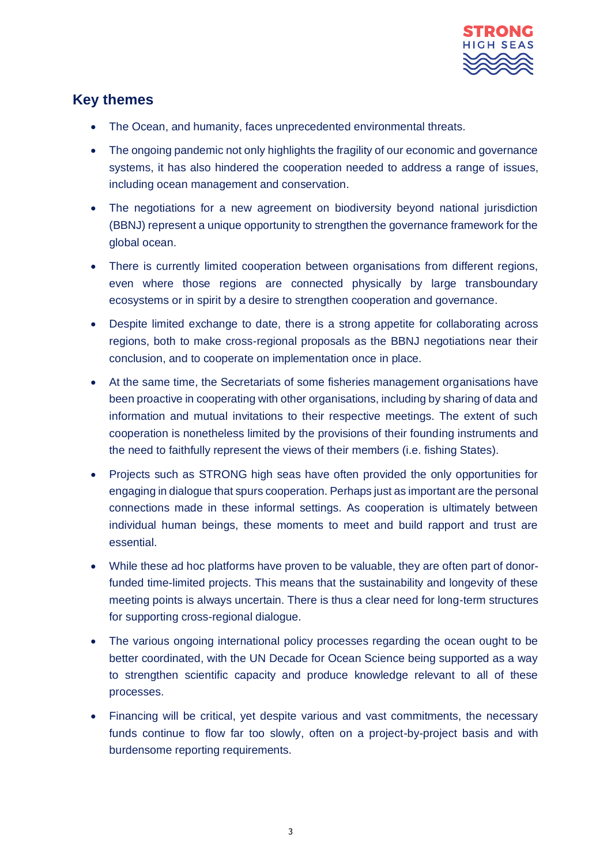

### <span id="page-2-0"></span>**Key themes**

- The Ocean, and humanity, faces unprecedented environmental threats.
- The ongoing pandemic not only highlights the fragility of our economic and governance systems, it has also hindered the cooperation needed to address a range of issues, including ocean management and conservation.
- The negotiations for a new agreement on biodiversity beyond national jurisdiction (BBNJ) represent a unique opportunity to strengthen the governance framework for the global ocean.
- There is currently limited cooperation between organisations from different regions, even where those regions are connected physically by large transboundary ecosystems or in spirit by a desire to strengthen cooperation and governance.
- Despite limited exchange to date, there is a strong appetite for collaborating across regions, both to make cross-regional proposals as the BBNJ negotiations near their conclusion, and to cooperate on implementation once in place.
- At the same time, the Secretariats of some fisheries management organisations have been proactive in cooperating with other organisations, including by sharing of data and information and mutual invitations to their respective meetings. The extent of such cooperation is nonetheless limited by the provisions of their founding instruments and the need to faithfully represent the views of their members (i.e. fishing States).
- Projects such as STRONG high seas have often provided the only opportunities for engaging in dialogue that spurs cooperation. Perhaps just as important are the personal connections made in these informal settings. As cooperation is ultimately between individual human beings, these moments to meet and build rapport and trust are essential.
- While these ad hoc platforms have proven to be valuable, they are often part of donorfunded time-limited projects. This means that the sustainability and longevity of these meeting points is always uncertain. There is thus a clear need for long-term structures for supporting cross-regional dialogue.
- The various ongoing international policy processes regarding the ocean ought to be better coordinated, with the UN Decade for Ocean Science being supported as a way to strengthen scientific capacity and produce knowledge relevant to all of these processes.
- Financing will be critical, yet despite various and vast commitments, the necessary funds continue to flow far too slowly, often on a project-by-project basis and with burdensome reporting requirements.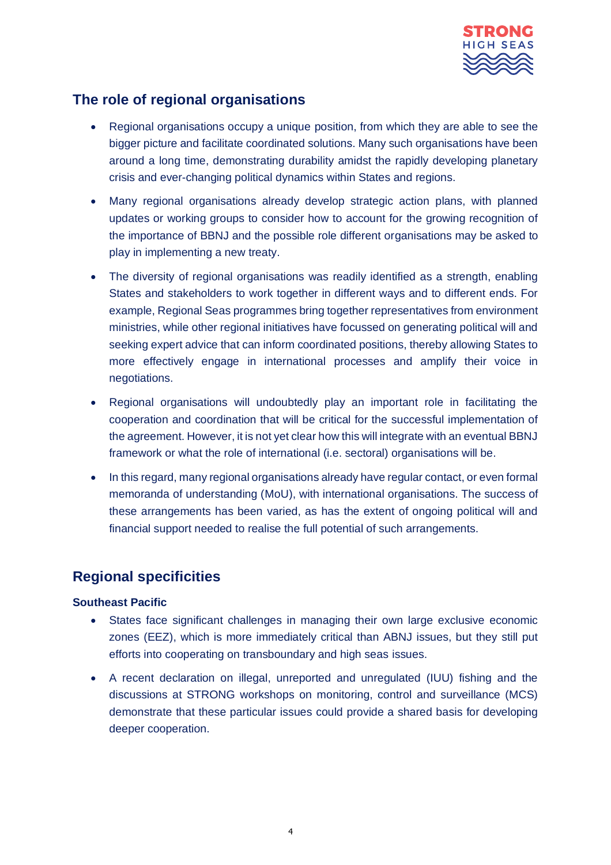

## <span id="page-3-0"></span>**The role of regional organisations**

- Regional organisations occupy a unique position, from which they are able to see the bigger picture and facilitate coordinated solutions. Many such organisations have been around a long time, demonstrating durability amidst the rapidly developing planetary crisis and ever-changing political dynamics within States and regions.
- Many regional organisations already develop strategic action plans, with planned updates or working groups to consider how to account for the growing recognition of the importance of BBNJ and the possible role different organisations may be asked to play in implementing a new treaty.
- The diversity of regional organisations was readily identified as a strength, enabling States and stakeholders to work together in different ways and to different ends. For example, Regional Seas programmes bring together representatives from environment ministries, while other regional initiatives have focussed on generating political will and seeking expert advice that can inform coordinated positions, thereby allowing States to more effectively engage in international processes and amplify their voice in negotiations.
- Regional organisations will undoubtedly play an important role in facilitating the cooperation and coordination that will be critical for the successful implementation of the agreement. However, it is not yet clear how this will integrate with an eventual BBNJ framework or what the role of international (i.e. sectoral) organisations will be.
- In this regard, many regional organisations already have regular contact, or even formal memoranda of understanding (MoU), with international organisations. The success of these arrangements has been varied, as has the extent of ongoing political will and financial support needed to realise the full potential of such arrangements.

### <span id="page-3-1"></span>**Regional specificities**

#### **Southeast Pacific**

- States face significant challenges in managing their own large exclusive economic zones (EEZ), which is more immediately critical than ABNJ issues, but they still put efforts into cooperating on transboundary and high seas issues.
- A recent declaration on illegal, unreported and unregulated (IUU) fishing and the discussions at STRONG workshops on monitoring, control and surveillance (MCS) demonstrate that these particular issues could provide a shared basis for developing deeper cooperation.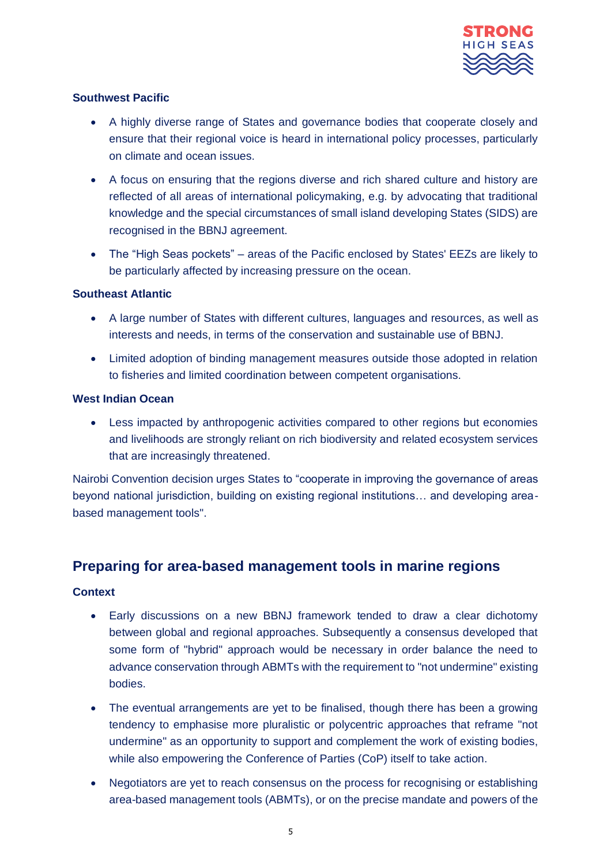

### **Southwest Pacific**

- A highly diverse range of States and governance bodies that cooperate closely and ensure that their regional voice is heard in international policy processes, particularly on climate and ocean issues.
- A focus on ensuring that the regions diverse and rich shared culture and history are reflected of all areas of international policymaking, e.g. by advocating that traditional knowledge and the special circumstances of small island developing States (SIDS) are recognised in the BBNJ agreement.
- The "High Seas pockets" areas of the Pacific enclosed by States' EEZs are likely to be particularly affected by increasing pressure on the ocean.

### **Southeast Atlantic**

- A large number of States with different cultures, languages and resources, as well as interests and needs, in terms of the conservation and sustainable use of BBNJ.
- Limited adoption of binding management measures outside those adopted in relation to fisheries and limited coordination between competent organisations.

### **West Indian Ocean**

• Less impacted by anthropogenic activities compared to other regions but economies and livelihoods are strongly reliant on rich biodiversity and related ecosystem services that are increasingly threatened.

Nairobi Convention decision urges States to "cooperate in improving the governance of areas beyond national jurisdiction, building on existing regional institutions… and developing areabased management tools".

### <span id="page-4-0"></span>**Preparing for area-based management tools in marine regions**

#### **Context**

- Early discussions on a new BBNJ framework tended to draw a clear dichotomy between global and regional approaches. Subsequently a consensus developed that some form of "hybrid" approach would be necessary in order balance the need to advance conservation through ABMTs with the requirement to "not undermine" existing bodies.
- The eventual arrangements are yet to be finalised, though there has been a growing tendency to emphasise more pluralistic or polycentric approaches that reframe "not undermine" as an opportunity to support and complement the work of existing bodies, while also empowering the Conference of Parties (CoP) itself to take action.
- Negotiators are yet to reach consensus on the process for recognising or establishing area-based management tools (ABMTs), or on the precise mandate and powers of the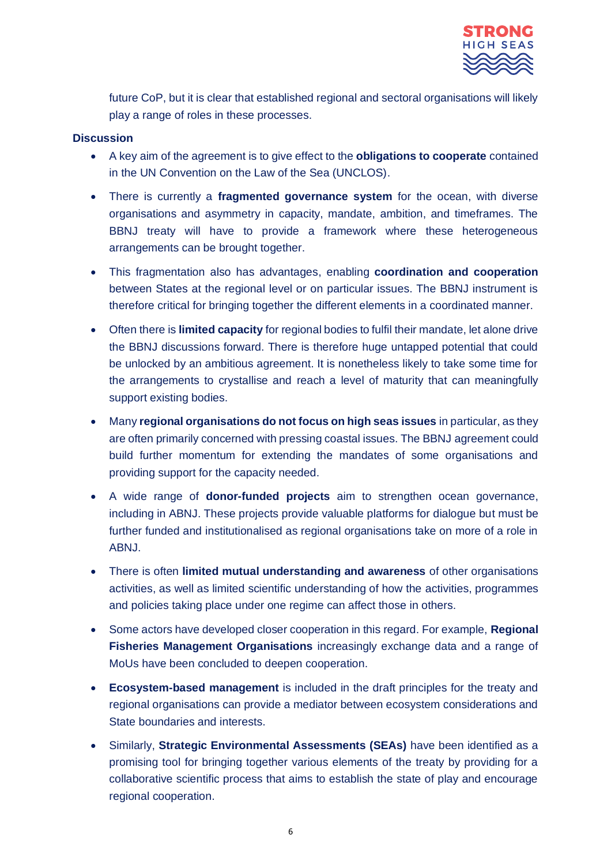

future CoP, but it is clear that established regional and sectoral organisations will likely play a range of roles in these processes.

#### **Discussion**

- A key aim of the agreement is to give effect to the **obligations to cooperate** contained in the UN Convention on the Law of the Sea (UNCLOS).
- There is currently a **fragmented governance system** for the ocean, with diverse organisations and asymmetry in capacity, mandate, ambition, and timeframes. The BBNJ treaty will have to provide a framework where these heterogeneous arrangements can be brought together.
- This fragmentation also has advantages, enabling **coordination and cooperation** between States at the regional level or on particular issues. The BBNJ instrument is therefore critical for bringing together the different elements in a coordinated manner.
- Often there is **limited capacity** for regional bodies to fulfil their mandate, let alone drive the BBNJ discussions forward. There is therefore huge untapped potential that could be unlocked by an ambitious agreement. It is nonetheless likely to take some time for the arrangements to crystallise and reach a level of maturity that can meaningfully support existing bodies.
- Many **regional organisations do not focus on high seas issues** in particular, as they are often primarily concerned with pressing coastal issues. The BBNJ agreement could build further momentum for extending the mandates of some organisations and providing support for the capacity needed.
- A wide range of **donor-funded projects** aim to strengthen ocean governance, including in ABNJ. These projects provide valuable platforms for dialogue but must be further funded and institutionalised as regional organisations take on more of a role in ABNJ.
- There is often **limited mutual understanding and awareness** of other organisations activities, as well as limited scientific understanding of how the activities, programmes and policies taking place under one regime can affect those in others.
- Some actors have developed closer cooperation in this regard. For example, **Regional Fisheries Management Organisations** increasingly exchange data and a range of MoUs have been concluded to deepen cooperation.
- **Ecosystem-based management** is included in the draft principles for the treaty and regional organisations can provide a mediator between ecosystem considerations and State boundaries and interests.
- Similarly, **Strategic Environmental Assessments (SEAs)** have been identified as a promising tool for bringing together various elements of the treaty by providing for a collaborative scientific process that aims to establish the state of play and encourage regional cooperation.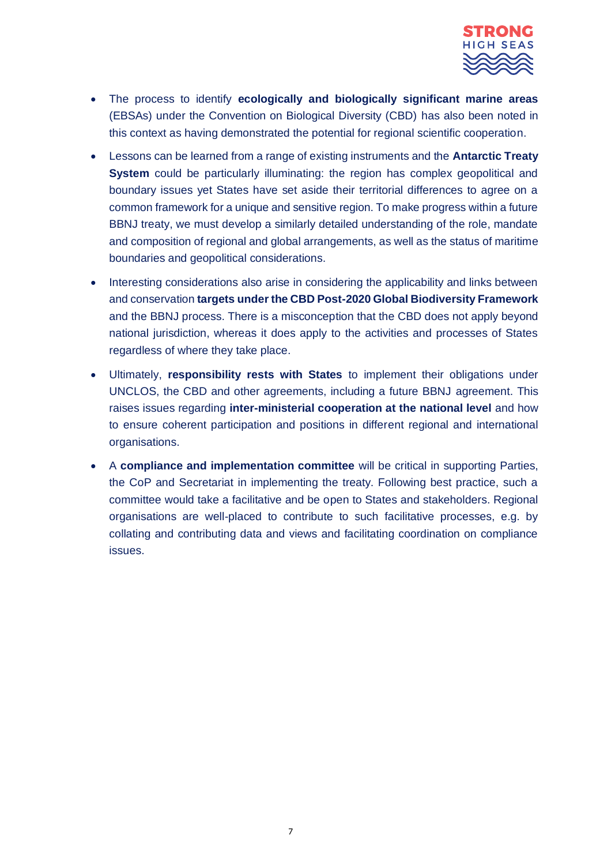

- The process to identify **ecologically and biologically significant marine areas**  (EBSAs) under the Convention on Biological Diversity (CBD) has also been noted in this context as having demonstrated the potential for regional scientific cooperation.
- Lessons can be learned from a range of existing instruments and the **Antarctic Treaty System** could be particularly illuminating: the region has complex geopolitical and boundary issues yet States have set aside their territorial differences to agree on a common framework for a unique and sensitive region. To make progress within a future BBNJ treaty, we must develop a similarly detailed understanding of the role, mandate and composition of regional and global arrangements, as well as the status of maritime boundaries and geopolitical considerations.
- Interesting considerations also arise in considering the applicability and links between and conservation **targets under the CBD Post-2020 Global Biodiversity Framework** and the BBNJ process. There is a misconception that the CBD does not apply beyond national jurisdiction, whereas it does apply to the activities and processes of States regardless of where they take place.
- Ultimately, **responsibility rests with States** to implement their obligations under UNCLOS, the CBD and other agreements, including a future BBNJ agreement. This raises issues regarding **inter-ministerial cooperation at the national level** and how to ensure coherent participation and positions in different regional and international organisations.
- A **compliance and implementation committee** will be critical in supporting Parties, the CoP and Secretariat in implementing the treaty. Following best practice, such a committee would take a facilitative and be open to States and stakeholders. Regional organisations are well-placed to contribute to such facilitative processes, e.g. by collating and contributing data and views and facilitating coordination on compliance issues.